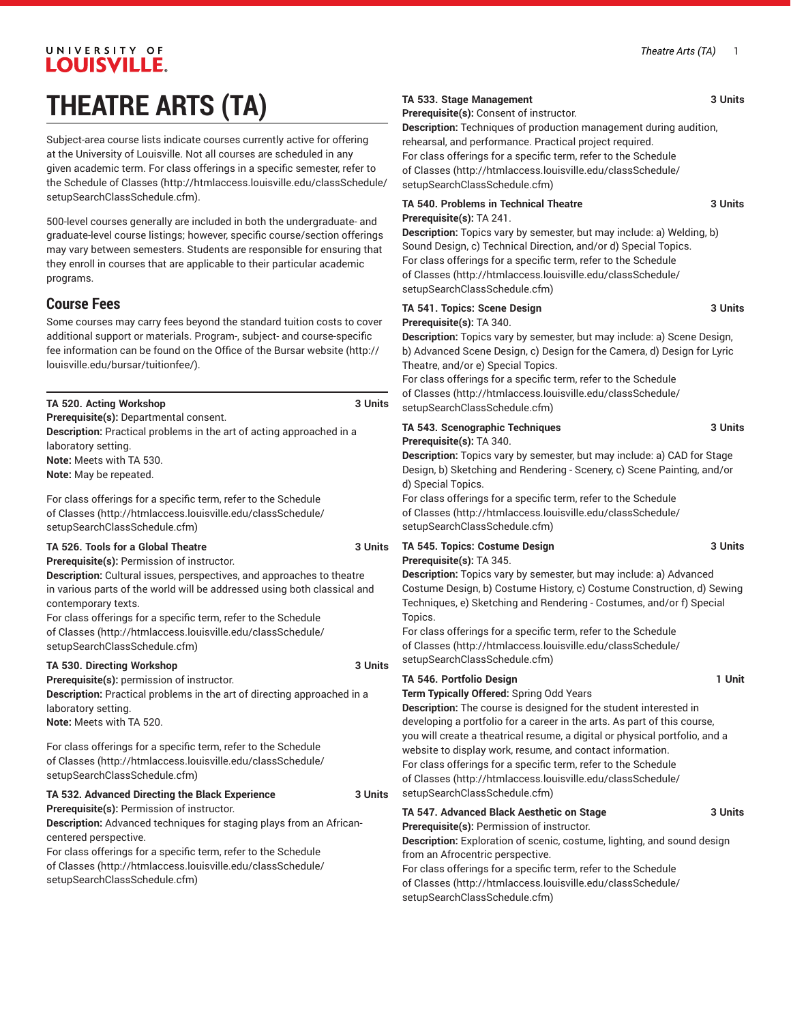# UNIVERSITY OF **LOUISVILLE. THEATRE ARTS (TA)**

Subject-area course lists indicate courses currently active for offering at the University of Louisville. Not all courses are scheduled in any given academic term. For class offerings in a specific semester, refer to the [Schedule of Classes](http://htmlaccess.louisville.edu/classSchedule/setupSearchClassSchedule.cfm) ([http://htmlaccess.louisville.edu/classSchedule/](http://htmlaccess.louisville.edu/classSchedule/setupSearchClassSchedule.cfm) [setupSearchClassSchedule.cfm\)](http://htmlaccess.louisville.edu/classSchedule/setupSearchClassSchedule.cfm).

500-level courses generally are included in both the undergraduate- and graduate-level course listings; however, specific course/section offerings may vary between semesters. Students are responsible for ensuring that they enroll in courses that are applicable to their particular academic programs.

# **Course Fees**

Some courses may carry fees beyond the standard tuition costs to cover additional support or materials. Program-, subject- and course-specific fee information can be found on the [Office of the Bursar website](http://louisville.edu/bursar/tuitionfee/) ([http://](http://louisville.edu/bursar/tuitionfee/) [louisville.edu/bursar/tuitionfee/](http://louisville.edu/bursar/tuitionfee/)).

| TA 520. Acting Workshop<br>3 Units                                                                                                                                                                                                                                                                                                                                                                                                                | of Classes (http://htmlaccess.louisville.edu/classSchedule/<br>setupSearchClassSchedule.cfm)                                                                                                                                                                                                                                                                                                                                                                                                                                                  |
|---------------------------------------------------------------------------------------------------------------------------------------------------------------------------------------------------------------------------------------------------------------------------------------------------------------------------------------------------------------------------------------------------------------------------------------------------|-----------------------------------------------------------------------------------------------------------------------------------------------------------------------------------------------------------------------------------------------------------------------------------------------------------------------------------------------------------------------------------------------------------------------------------------------------------------------------------------------------------------------------------------------|
| Prerequisite(s): Departmental consent.<br>Description: Practical problems in the art of acting approached in a<br>laboratory setting.<br>Note: Meets with TA 530.<br>Note: May be repeated.<br>For class offerings for a specific term, refer to the Schedule<br>of Classes (http://htmlaccess.louisville.edu/classSchedule/<br>setupSearchClassSchedule.cfm)                                                                                     | TA 543. Scenographic Techniques<br>3 Units<br>Prerequisite(s): TA 340.<br>Description: Topics vary by semester, but may include: a) CAD for Stage<br>Design, b) Sketching and Rendering - Scenery, c) Scene Painting, and/or<br>d) Special Topics.<br>For class offerings for a specific term, refer to the Schedule<br>of Classes (http://htmlaccess.louisville.edu/classSchedule/<br>setupSearchClassSchedule.cfm)                                                                                                                          |
| TA 526. Tools for a Global Theatre<br>3 Units<br>Prerequisite(s): Permission of instructor.<br>Description: Cultural issues, perspectives, and approaches to theatre<br>in various parts of the world will be addressed using both classical and<br>contemporary texts.<br>For class offerings for a specific term, refer to the Schedule<br>of Classes (http://htmlaccess.louisville.edu/classSchedule/<br>setupSearchClassSchedule.cfm)         | TA 545. Topics: Costume Design<br>3 Units<br>Prerequisite(s): TA 345.<br>Description: Topics vary by semester, but may include: a) Advanced<br>Costume Design, b) Costume History, c) Costume Construction, d) Sewing<br>Techniques, e) Sketching and Rendering - Costumes, and/or f) Special<br>Topics.<br>For class offerings for a specific term, refer to the Schedule<br>of Classes (http://htmlaccess.louisville.edu/classSchedule/<br>setupSearchClassSchedule.cfm)                                                                    |
| 3 Units<br>TA 530. Directing Workshop<br>Prerequisite(s): permission of instructor.<br>Description: Practical problems in the art of directing approached in a<br>laboratory setting.<br>Note: Meets with TA 520.<br>For class offerings for a specific term, refer to the Schedule<br>of Classes (http://htmlaccess.louisville.edu/classSchedule/<br>setupSearchClassSchedule.cfm)<br>TA 532. Advanced Directing the Black Experience<br>3 Units | TA 546. Portfolio Design<br>1 Unit<br>Term Typically Offered: Spring Odd Years<br>Description: The course is designed for the student interested in<br>developing a portfolio for a career in the arts. As part of this course,<br>you will create a theatrical resume, a digital or physical portfolio, and a<br>website to display work, resume, and contact information.<br>For class offerings for a specific term, refer to the Schedule<br>of Classes (http://htmlaccess.louisville.edu/classSchedule/<br>setupSearchClassSchedule.cfm) |
| Prerequisite(s): Permission of instructor.<br>Description: Advanced techniques for staging plays from an African-<br>centered perspective.<br>For class offerings for a specific term, refer to the Schedule<br>of Classes (http://htmlaccess.louisville.edu/classSchedule/                                                                                                                                                                       | TA 547. Advanced Black Aesthetic on Stage<br>3 Units<br>Prerequisite(s): Permission of instructor.<br>Description: Exploration of scenic, costume, lighting, and sound design<br>from an Afrocentric perspective.<br>For class offerings for a specific term, refer to the Schedule                                                                                                                                                                                                                                                           |

[setupSearchClassSchedule.cfm\)](http://htmlaccess.louisville.edu/classSchedule/setupSearchClassSchedule.cfm)

### **TA 533. Stage Management 3 Units**

**Prerequisite(s):** Consent of instructor.

**Description:** Techniques of production management during audition, rehearsal, and performance. Practical project required. For class offerings for a specific term, refer to the [Schedule](http://htmlaccess.louisville.edu/classSchedule/setupSearchClassSchedule.cfm) [of Classes](http://htmlaccess.louisville.edu/classSchedule/setupSearchClassSchedule.cfm) ([http://htmlaccess.louisville.edu/classSchedule/](http://htmlaccess.louisville.edu/classSchedule/setupSearchClassSchedule.cfm) [setupSearchClassSchedule.cfm\)](http://htmlaccess.louisville.edu/classSchedule/setupSearchClassSchedule.cfm)

### **TA 540. Problems in Technical Theatre 3 Units Prerequisite(s):** TA 241.

**Description:** Topics vary by semester, but may include: a) Welding, b) Sound Design, c) Technical Direction, and/or d) Special Topics. For class offerings for a specific term, refer to the [Schedule](http://htmlaccess.louisville.edu/classSchedule/setupSearchClassSchedule.cfm) [of Classes](http://htmlaccess.louisville.edu/classSchedule/setupSearchClassSchedule.cfm) ([http://htmlaccess.louisville.edu/classSchedule/](http://htmlaccess.louisville.edu/classSchedule/setupSearchClassSchedule.cfm) [setupSearchClassSchedule.cfm\)](http://htmlaccess.louisville.edu/classSchedule/setupSearchClassSchedule.cfm)

#### **TA 541. Topics: Scene Design 3 Units Prerequisite(s):** TA 340.

**Description:** Topics vary by semester, but may include: a) Scene Design, b) Advanced Scene Design, c) Design for the Camera, d) Design for Lyric Theatre, and/or e) Special Topics.

For class offerings for a specific term, refer to the [Schedule](http://htmlaccess.louisville.edu/classSchedule/setupSearchClassSchedule.cfm)

For class offerings for a specific term, refer to the [Schedule](http://htmlaccess.louisville.edu/classSchedule/setupSearchClassSchedule.cfm) [of Classes](http://htmlaccess.louisville.edu/classSchedule/setupSearchClassSchedule.cfm) ([http://htmlaccess.louisville.edu/classSchedule/](http://htmlaccess.louisville.edu/classSchedule/setupSearchClassSchedule.cfm) [setupSearchClassSchedule.cfm\)](http://htmlaccess.louisville.edu/classSchedule/setupSearchClassSchedule.cfm)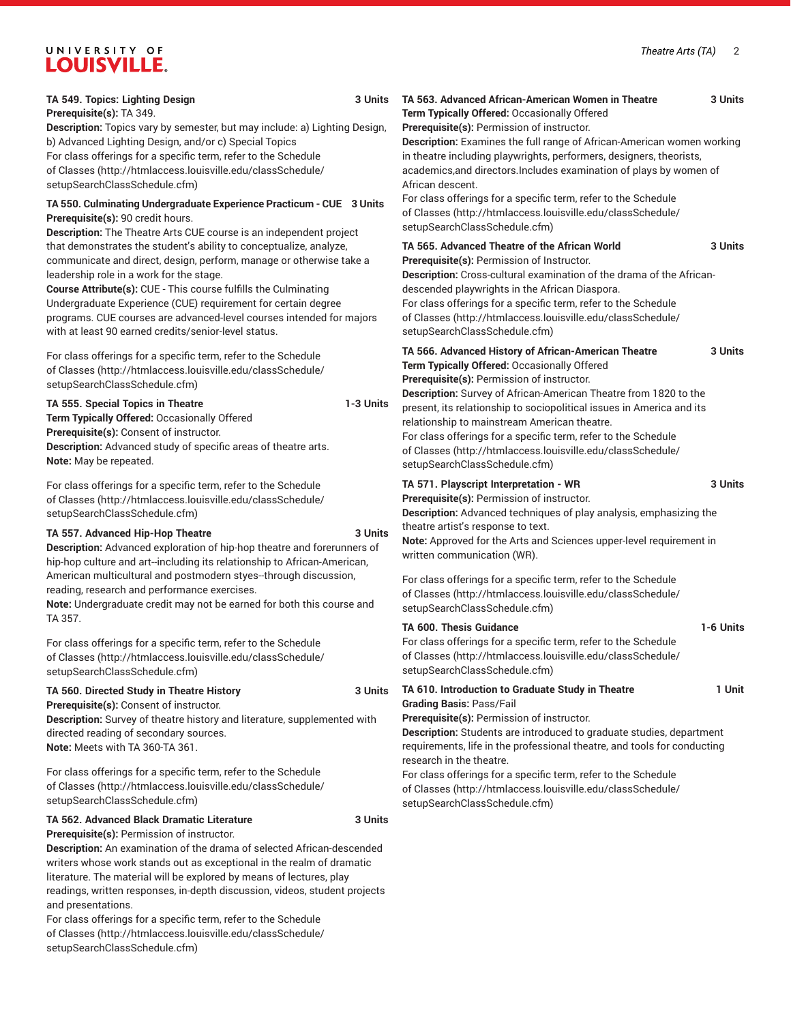# UNIVERSITY OF LOUISVILLE.

| TA 549. Topics: Lighting Design<br>3 Units<br>Prerequisite(s): TA 349.<br>Description: Topics vary by semester, but may include: a) Lighting Design,<br>b) Advanced Lighting Design, and/or c) Special Topics<br>For class offerings for a specific term, refer to the Schedule<br>of Classes (http://htmlaccess.louisville.edu/classSchedule/<br>setupSearchClassSchedule.cfm)                                                                           | TA 563. Advanced African-American Women in Theatre<br>3 Units<br>Term Typically Offered: Occasionally Offered<br>Prerequisite(s): Permission of instructor.<br>Description: Examines the full range of African-American women working<br>in theatre including playwrights, performers, designers, theorists,<br>academics, and directors. Includes examination of plays by women of<br>African descent. |
|-----------------------------------------------------------------------------------------------------------------------------------------------------------------------------------------------------------------------------------------------------------------------------------------------------------------------------------------------------------------------------------------------------------------------------------------------------------|---------------------------------------------------------------------------------------------------------------------------------------------------------------------------------------------------------------------------------------------------------------------------------------------------------------------------------------------------------------------------------------------------------|
| TA 550. Culminating Undergraduate Experience Practicum - CUE 3 Units<br>Prerequisite(s): 90 credit hours.<br>Description: The Theatre Arts CUE course is an independent project                                                                                                                                                                                                                                                                           | For class offerings for a specific term, refer to the Schedule<br>of Classes (http://htmlaccess.louisville.edu/classSchedule/<br>setupSearchClassSchedule.cfm)                                                                                                                                                                                                                                          |
| that demonstrates the student's ability to conceptualize, analyze,<br>communicate and direct, design, perform, manage or otherwise take a<br>leadership role in a work for the stage.<br>Course Attribute(s): CUE - This course fulfills the Culminating<br>Undergraduate Experience (CUE) requirement for certain degree<br>programs. CUE courses are advanced-level courses intended for majors<br>with at least 90 earned credits/senior-level status. | TA 565. Advanced Theatre of the African World<br>3 Units<br>Prerequisite(s): Permission of Instructor.<br>Description: Cross-cultural examination of the drama of the African-<br>descended playwrights in the African Diaspora.<br>For class offerings for a specific term, refer to the Schedule<br>of Classes (http://htmlaccess.louisville.edu/classSchedule/<br>setupSearchClassSchedule.cfm)      |
| For class offerings for a specific term, refer to the Schedule<br>of Classes (http://htmlaccess.louisville.edu/classSchedule/<br>setupSearchClassSchedule.cfm)                                                                                                                                                                                                                                                                                            | TA 566. Advanced History of African-American Theatre<br>3 Units<br>Term Typically Offered: Occasionally Offered<br>Prerequisite(s): Permission of instructor.                                                                                                                                                                                                                                           |
| TA 555. Special Topics in Theatre<br>1-3 Units<br>Term Typically Offered: Occasionally Offered<br>Prerequisite(s): Consent of instructor.<br>Description: Advanced study of specific areas of theatre arts.<br>Note: May be repeated.                                                                                                                                                                                                                     | Description: Survey of African-American Theatre from 1820 to the<br>present, its relationship to sociopolitical issues in America and its<br>relationship to mainstream American theatre.<br>For class offerings for a specific term, refer to the Schedule<br>of Classes (http://htmlaccess.louisville.edu/classSchedule/<br>setupSearchClassSchedule.cfm)                                             |
| For class offerings for a specific term, refer to the Schedule<br>of Classes (http://htmlaccess.louisville.edu/classSchedule/<br>setupSearchClassSchedule.cfm)                                                                                                                                                                                                                                                                                            | TA 571. Playscript Interpretation - WR<br>3 Units<br>Prerequisite(s): Permission of instructor.<br>Description: Advanced techniques of play analysis, emphasizing the                                                                                                                                                                                                                                   |
| 3 Units<br>TA 557. Advanced Hip-Hop Theatre<br>Description: Advanced exploration of hip-hop theatre and forerunners of<br>hip-hop culture and art--including its relationship to African-American,                                                                                                                                                                                                                                                        | theatre artist's response to text.<br>Note: Approved for the Arts and Sciences upper-level requirement in<br>written communication (WR).                                                                                                                                                                                                                                                                |
| American multicultural and postmodern styes--through discussion,<br>reading, research and performance exercises.<br>Note: Undergraduate credit may not be earned for both this course and                                                                                                                                                                                                                                                                 | For class offerings for a specific term, refer to the Schedule<br>of Classes (http://htmlaccess.louisville.edu/classSchedule/<br>setupSearchClassSchedule.cfm)                                                                                                                                                                                                                                          |
| TA 357.<br>For class offerings for a specific term, refer to the Schedule<br>of Classes (http://htmlaccess.louisville.edu/classSchedule/<br>setupSearchClassSchedule.cfm)                                                                                                                                                                                                                                                                                 | <b>TA 600. Thesis Guidance</b><br>1-6 Units<br>For class offerings for a specific term, refer to the Schedule<br>of Classes (http://htmlaccess.louisville.edu/classSchedule/<br>setupSearchClassSchedule.cfm)                                                                                                                                                                                           |
| TA 560. Directed Study in Theatre History<br>3 Units<br>Prerequisite(s): Consent of instructor.<br>Description: Survey of theatre history and literature, supplemented with<br>directed reading of secondary sources.<br>Note: Meets with TA 360-TA 361.                                                                                                                                                                                                  | TA 610. Introduction to Graduate Study in Theatre<br>1 Unit<br><b>Grading Basis: Pass/Fail</b><br>Prerequisite(s): Permission of instructor.<br><b>Description:</b> Students are introduced to graduate studies, department<br>requirements, life in the professional theatre, and tools for conducting<br>research in the theatre.                                                                     |
| For class offerings for a specific term, refer to the Schedule<br>of Classes (http://htmlaccess.louisville.edu/classSchedule/<br>setupSearchClassSchedule.cfm)                                                                                                                                                                                                                                                                                            | For class offerings for a specific term, refer to the Schedule<br>of Classes (http://htmlaccess.louisville.edu/classSchedule/<br>setupSearchClassSchedule.cfm)                                                                                                                                                                                                                                          |
| TA 562. Advanced Black Dramatic Literature<br>3 Units<br>Prerequisite(s): Permission of instructor.<br>Description: An examination of the drama of selected African-descended<br>writers whose work stands out as exceptional in the realm of dramatic<br>literature. The material will be explored by means of lectures, play                                                                                                                            |                                                                                                                                                                                                                                                                                                                                                                                                         |

literature. The material will be explored by means of lectures, play readings, written responses, in-depth discussion, videos, student projects and presentations.

For class offerings for a specific term, refer to the [Schedule](http://htmlaccess.louisville.edu/classSchedule/setupSearchClassSchedule.cfm) [of Classes \(http://htmlaccess.louisville.edu/classSchedule/](http://htmlaccess.louisville.edu/classSchedule/setupSearchClassSchedule.cfm) [setupSearchClassSchedule.cfm\)](http://htmlaccess.louisville.edu/classSchedule/setupSearchClassSchedule.cfm)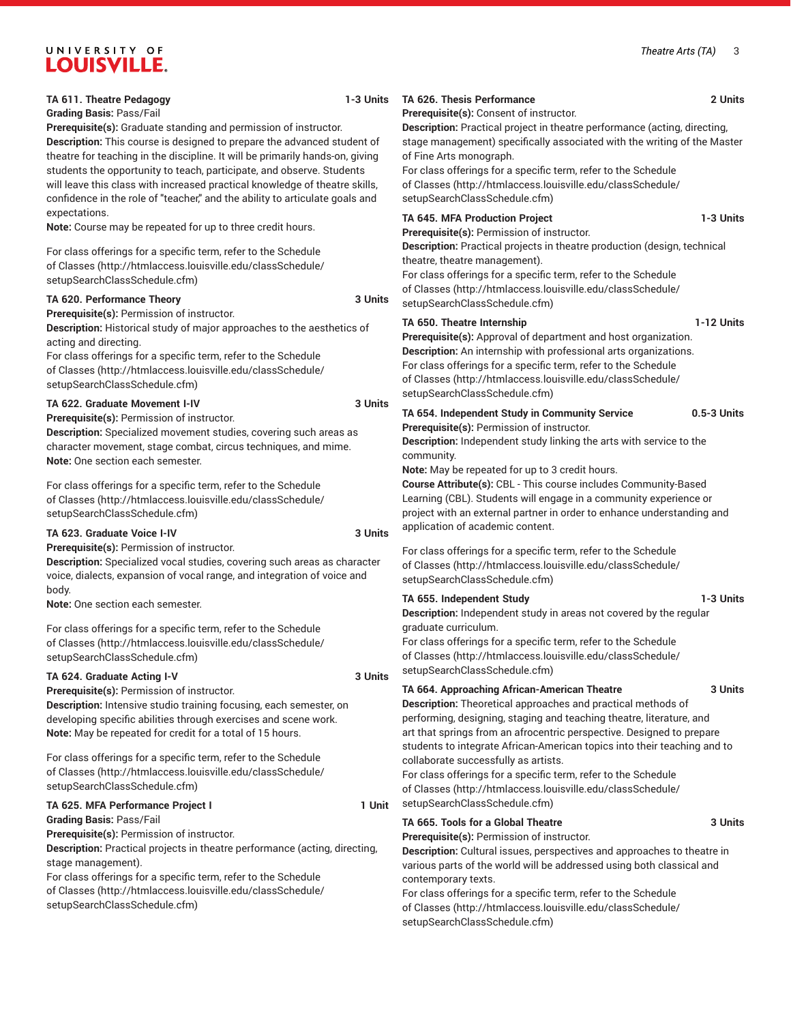#### *Theatre Arts (TA)* 3

# **LOUISVILLE. TA 611. Theatre Pedagogy 1-3 Units Grading Basis:** Pass/Fail **Prerequisite(s):** Graduate standing and permission of instructor. **Description:** This course is designed to prepare the advanced student of theatre for teaching in the discipline. It will be primarily hands-on, giving students the opportunity to teach, participate, and observe. Students will leave this class with increased practical knowledge of theatre skills, confidence in the role of "teacher," and the ability to articulate goals and expectations. **Note:** Course may be repeated for up to three credit hours.

[setupSearchClassSchedule.cfm\)](http://htmlaccess.louisville.edu/classSchedule/setupSearchClassSchedule.cfm)

[setupSearchClassSchedule.cfm\)](http://htmlaccess.louisville.edu/classSchedule/setupSearchClassSchedule.cfm)

acting and directing.

**Prerequisite(s):** Permission of instructor.

**TA 620. Performance Theory 3 Units Description:** Historical study of major approaches to the aesthetics of **TA 622. Graduate Movement I-IV 3 Units** [setupSearchClassSchedule.cfm\)](http://htmlaccess.louisville.edu/classSchedule/setupSearchClassSchedule.cfm) **TA 650. Theatre Internship 1-12 Units** [setupSearchClassSchedule.cfm\)](http://htmlaccess.louisville.edu/classSchedule/setupSearchClassSchedule.cfm) **Prerequisite(s):** Permission of instructor. community. **Note:** May be repeated for up to 3 credit hours. application of academic content. [setupSearchClassSchedule.cfm\)](http://htmlaccess.louisville.edu/classSchedule/setupSearchClassSchedule.cfm) graduate curriculum. [setupSearchClassSchedule.cfm\)](http://htmlaccess.louisville.edu/classSchedule/setupSearchClassSchedule.cfm) collaborate successfully as artists.

For class offerings for a specific term, refer to the [Schedule](http://htmlaccess.louisville.edu/classSchedule/setupSearchClassSchedule.cfm)

**Description:** Independent study in areas not covered by the regular

For class offerings for a specific term, refer to the [Schedule](http://htmlaccess.louisville.edu/classSchedule/setupSearchClassSchedule.cfm) [of Classes](http://htmlaccess.louisville.edu/classSchedule/setupSearchClassSchedule.cfm) ([http://htmlaccess.louisville.edu/classSchedule/](http://htmlaccess.louisville.edu/classSchedule/setupSearchClassSchedule.cfm)

art that springs from an afrocentric perspective. Designed to prepare students to integrate African-American topics into their teaching and to

[of Classes](http://htmlaccess.louisville.edu/classSchedule/setupSearchClassSchedule.cfm) ([http://htmlaccess.louisville.edu/classSchedule/](http://htmlaccess.louisville.edu/classSchedule/setupSearchClassSchedule.cfm)

**TA 655. Independent Study 1-3 Units**

performing, designing, staging and teaching theatre, literature, and

#### of Fine Arts monograph. For class offerings for a specific term, refer to the [Schedule](http://htmlaccess.louisville.edu/classSchedule/setupSearchClassSchedule.cfm)

**Prerequisite(s):** Consent of instructor.

[of Classes](http://htmlaccess.louisville.edu/classSchedule/setupSearchClassSchedule.cfm) ([http://htmlaccess.louisville.edu/classSchedule/](http://htmlaccess.louisville.edu/classSchedule/setupSearchClassSchedule.cfm) [setupSearchClassSchedule.cfm\)](http://htmlaccess.louisville.edu/classSchedule/setupSearchClassSchedule.cfm)

**Description:** Practical project in theatre performance (acting, directing, stage management) specifically associated with the writing of the Master

## **TA 645. MFA Production Project 1-3 Units**

**Prerequisite(s):** Permission of instructor. **Description:** Practical projects in theatre production (design, technical

theatre, theatre management).

For class offerings for a specific term, refer to the [Schedule](http://htmlaccess.louisville.edu/classSchedule/setupSearchClassSchedule.cfm) [of Classes](http://htmlaccess.louisville.edu/classSchedule/setupSearchClassSchedule.cfm) ([http://htmlaccess.louisville.edu/classSchedule/](http://htmlaccess.louisville.edu/classSchedule/setupSearchClassSchedule.cfm)

**Prerequisite(s):** Approval of department and host organization. **Description:** An internship with professional arts organizations. For class offerings for a specific term, refer to the [Schedule](http://htmlaccess.louisville.edu/classSchedule/setupSearchClassSchedule.cfm) [of Classes](http://htmlaccess.louisville.edu/classSchedule/setupSearchClassSchedule.cfm) ([http://htmlaccess.louisville.edu/classSchedule/](http://htmlaccess.louisville.edu/classSchedule/setupSearchClassSchedule.cfm)

**TA 654. Independent Study in Community Service 0.5-3 Units**

**Description:** Independent study linking the arts with service to the

**Course Attribute(s):** CBL - This course includes Community-Based Learning (CBL). Students will engage in a community experience or project with an external partner in order to enhance understanding and

For class offerings for a specific term, refer to the [Schedule](http://htmlaccess.louisville.edu/classSchedule/setupSearchClassSchedule.cfm) [of Classes](http://htmlaccess.louisville.edu/classSchedule/setupSearchClassSchedule.cfm) ([http://htmlaccess.louisville.edu/classSchedule/](http://htmlaccess.louisville.edu/classSchedule/setupSearchClassSchedule.cfm)

# **TA 664. Approaching African-American Theatre 3 Units**

**Description:** Theoretical approaches and practical methods of

[setupSearchClassSchedule.cfm\)](http://htmlaccess.louisville.edu/classSchedule/setupSearchClassSchedule.cfm) **TA 665. Tools for a Global Theatre 3 Units**

**Prerequisite(s):** Permission of instructor.

**Description:** Cultural issues, perspectives and approaches to theatre in various parts of the world will be addressed using both classical and contemporary texts.

For class offerings for a specific term, refer to the [Schedule](http://htmlaccess.louisville.edu/classSchedule/setupSearchClassSchedule.cfm) [of Classes](http://htmlaccess.louisville.edu/classSchedule/setupSearchClassSchedule.cfm) ([http://htmlaccess.louisville.edu/classSchedule/](http://htmlaccess.louisville.edu/classSchedule/setupSearchClassSchedule.cfm) [setupSearchClassSchedule.cfm\)](http://htmlaccess.louisville.edu/classSchedule/setupSearchClassSchedule.cfm)

**Prerequisite(s):** Permission of instructor.

**Description:** Specialized movement studies, covering such areas as character movement, stage combat, circus techniques, and mime. **Note:** One section each semester.

For class offerings for a specific term, refer to the [Schedule](http://htmlaccess.louisville.edu/classSchedule/setupSearchClassSchedule.cfm) [of Classes \(http://htmlaccess.louisville.edu/classSchedule/](http://htmlaccess.louisville.edu/classSchedule/setupSearchClassSchedule.cfm) [setupSearchClassSchedule.cfm\)](http://htmlaccess.louisville.edu/classSchedule/setupSearchClassSchedule.cfm)

For class offerings for a specific term, refer to the [Schedule](http://htmlaccess.louisville.edu/classSchedule/setupSearchClassSchedule.cfm) [of Classes \(http://htmlaccess.louisville.edu/classSchedule/](http://htmlaccess.louisville.edu/classSchedule/setupSearchClassSchedule.cfm)

For class offerings for a specific term, refer to the [Schedule](http://htmlaccess.louisville.edu/classSchedule/setupSearchClassSchedule.cfm) [of Classes \(http://htmlaccess.louisville.edu/classSchedule/](http://htmlaccess.louisville.edu/classSchedule/setupSearchClassSchedule.cfm)

**Prerequisite(s):** Permission of instructor.

**Description:** Specialized vocal studies, covering such areas as character voice, dialects, expansion of vocal range, and integration of voice and body.

**Note:** One section each semester.

For class offerings for a specific term, refer to the [Schedule](http://htmlaccess.louisville.edu/classSchedule/setupSearchClassSchedule.cfm) [of Classes \(http://htmlaccess.louisville.edu/classSchedule/](http://htmlaccess.louisville.edu/classSchedule/setupSearchClassSchedule.cfm) [setupSearchClassSchedule.cfm\)](http://htmlaccess.louisville.edu/classSchedule/setupSearchClassSchedule.cfm)

### **TA 624. Graduate Acting I-V 3 Units**

**Prerequisite(s):** Permission of instructor.

**Description:** Intensive studio training focusing, each semester, on developing specific abilities through exercises and scene work. **Note:** May be repeated for credit for a total of 15 hours.

For class offerings for a specific term, refer to the [Schedule](http://htmlaccess.louisville.edu/classSchedule/setupSearchClassSchedule.cfm) [of Classes \(http://htmlaccess.louisville.edu/classSchedule/](http://htmlaccess.louisville.edu/classSchedule/setupSearchClassSchedule.cfm) [setupSearchClassSchedule.cfm\)](http://htmlaccess.louisville.edu/classSchedule/setupSearchClassSchedule.cfm)

# **TA 625. MFA Performance Project I 1 Unit**

**Grading Basis:** Pass/Fail **Prerequisite(s):** Permission of instructor.

**Description:** Practical projects in theatre performance (acting, directing, stage management).

For class offerings for a specific term, refer to the [Schedule](http://htmlaccess.louisville.edu/classSchedule/setupSearchClassSchedule.cfm) [of Classes \(http://htmlaccess.louisville.edu/classSchedule/](http://htmlaccess.louisville.edu/classSchedule/setupSearchClassSchedule.cfm) [setupSearchClassSchedule.cfm\)](http://htmlaccess.louisville.edu/classSchedule/setupSearchClassSchedule.cfm)

**TA 623. Graduate Voice I-IV 3 Units**

# UNIVERSITY OF

**TA 626. Thesis Performance 2 Units**